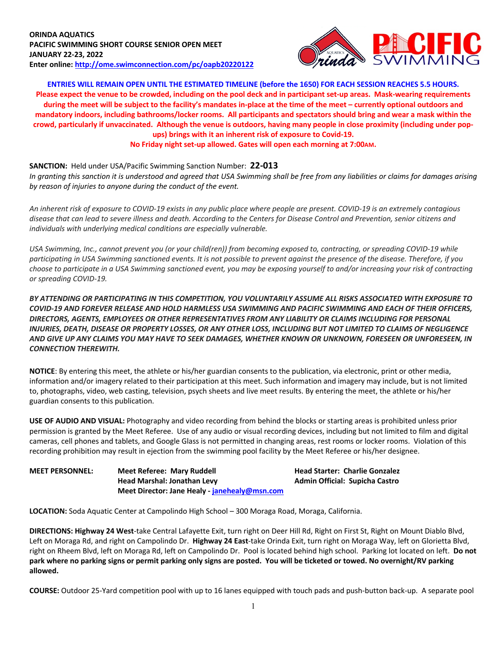

**ENTRIES WILL REMAIN OPEN UNTIL THE ESTIMATED TIMELINE (before the 1650) FOR EACH SESSION REACHES 5.5 HOURS. Please expect the venue to be crowded, including on the pool deck and in participant set-up areas. Mask-wearing requirements during the meet will be subject to the facility's mandates in-place at the time of the meet – currently optional outdoors and mandatory indoors, including bathrooms/locker rooms. All participants and spectators should bring and wear a mask within the crowd, particularly if unvaccinated. Although the venue is outdoors, having many people in close proximity (including under popups) brings with it an inherent risk of exposure to Covid-19.**

**No Friday night set-up allowed. Gates will open each morning at 7:00AM.**

## **SANCTION:** Held under USA/Pacific Swimming Sanction Number: **22-013**

*In granting this sanction it is understood and agreed that USA Swimming shall be free from any liabilities or claims for damages arising by reason of injuries to anyone during the conduct of the event.*

*An inherent risk of exposure to COVID-19 exists in any public place where people are present. COVID-19 is an extremely contagious disease that can lead to severe illness and death. According to the Centers for Disease Control and Prevention, senior citizens and individuals with underlying medical conditions are especially vulnerable.*

*USA Swimming, Inc., cannot prevent you (or your child(ren)) from becoming exposed to, contracting, or spreading COVID-19 while participating in USA Swimming sanctioned events. It is not possible to prevent against the presence of the disease. Therefore, if you choose to participate in a USA Swimming sanctioned event, you may be exposing yourself to and/or increasing your risk of contracting or spreading COVID-19.*

*BY ATTENDING OR PARTICIPATING IN THIS COMPETITION, YOU VOLUNTARILY ASSUME ALL RISKS ASSOCIATED WITH EXPOSURE TO COVID-19 AND FOREVER RELEASE AND HOLD HARMLESS USA SWIMMING AND PACIFIC SWIMMING AND EACH OF THEIR OFFICERS, DIRECTORS, AGENTS, EMPLOYEES OR OTHER REPRESENTATIVES FROM ANY LIABILITY OR CLAIMS INCLUDING FOR PERSONAL INJURIES, DEATH, DISEASE OR PROPERTY LOSSES, OR ANY OTHER LOSS, INCLUDING BUT NOT LIMITED TO CLAIMS OF NEGLIGENCE AND GIVE UP ANY CLAIMS YOU MAY HAVE TO SEEK DAMAGES, WHETHER KNOWN OR UNKNOWN, FORESEEN OR UNFORESEEN, IN CONNECTION THEREWITH.*

**NOTICE**: By entering this meet, the athlete or his/her guardian consents to the publication, via electronic, print or other media, information and/or imagery related to their participation at this meet. Such information and imagery may include, but is not limited to, photographs, video, web casting, television, psych sheets and live meet results. By entering the meet, the athlete or his/her guardian consents to this publication.

**USE OF AUDIO AND VISUAL:** Photography and video recording from behind the blocks or starting areas is prohibited unless prior permission is granted by the Meet Referee. Use of any audio or visual recording devices, including but not limited to film and digital cameras, cell phones and tablets, and Google Glass is not permitted in changing areas, rest rooms or locker rooms. Violation of this recording prohibition may result in ejection from the swimming pool facility by the Meet Referee or his/her designee.

| <b>MEET PERSONNEL:</b> | <b>Meet Referee: Mary Ruddell</b>             | <b>Head Starter</b>  |
|------------------------|-----------------------------------------------|----------------------|
|                        | Head Marshal: Jonathan Levy                   | <b>Admin Officia</b> |
|                        | Meet Director: Jane Healy - janehealy@msn.com |                      |

**MEET PERSONNEL: Meet Referee: Mary Ruddell Head Starter: Charlie Gonzalez Head Marshal: Jonathan Levy Admin Official: Supicha Castro**

**LOCATION:** Soda Aquatic Center at Campolindo High School – 300 Moraga Road, Moraga, California.

**DIRECTIONS: Highway 24 West**-take Central Lafayette Exit, turn right on Deer Hill Rd, Right on First St, Right on Mount Diablo Blvd, Left on Moraga Rd, and right on Campolindo Dr. **Highway 24 East**-take Orinda Exit, turn right on Moraga Way, left on Glorietta Blvd, right on Rheem Blvd, left on Moraga Rd, left on Campolindo Dr. Pool is located behind high school. Parking lot located on left. **Do not park where no parking signs or permit parking only signs are posted. You will be ticketed or towed. No overnight/RV parking allowed.**

**COURSE:** Outdoor 25-Yard competition pool with up to 16 lanes equipped with touch pads and push-button back-up. A separate pool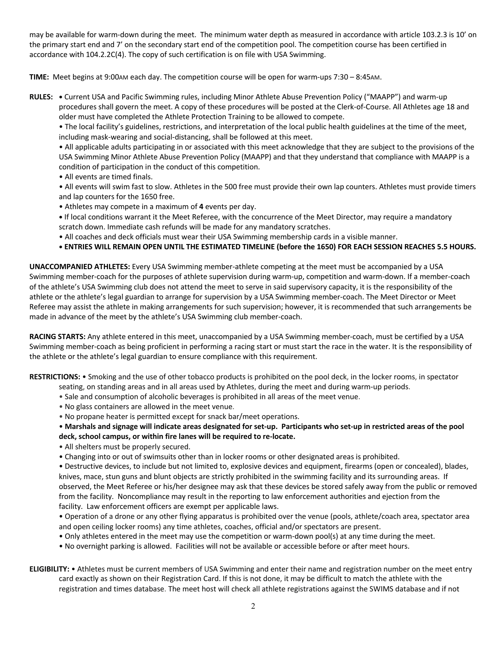may be available for warm-down during the meet. The minimum water depth as measured in accordance with article 103.2.3 is 10' on the primary start end and 7' on the secondary start end of the competition pool. The competition course has been certified in accordance with 104.2.2C(4). The copy of such certification is on file with USA Swimming.

**TIME:** Meet begins at 9:00AM each day. The competition course will be open for warm-ups 7:30 – 8:45AM.

**RULES: •** Current USA and Pacific Swimming rules, including Minor Athlete Abuse Prevention Policy ("MAAPP") and warm-up procedures shall govern the meet. A copy of these procedures will be posted at the Clerk-of-Course. All Athletes age 18 and older must have completed the Athlete Protection Training to be allowed to compete.

• The local facility's guidelines, restrictions, and interpretation of the local public health guidelines at the time of the meet, including mask-wearing and social-distancing, shall be followed at this meet.

• All applicable adults participating in or associated with this meet acknowledge that they are subject to the provisions of the USA Swimming Minor Athlete Abuse Prevention Policy (MAAPP) and that they understand that compliance with MAAPP is a condition of participation in the conduct of this competition.

• All events are timed finals.

• All events will swim fast to slow. Athletes in the 500 free must provide their own lap counters. Athletes must provide timers and lap counters for the 1650 free.

- Athletes may compete in a maximum of **4** events per day.
- **•** If local conditions warrant it the Meet Referee, with the concurrence of the Meet Director, may require a mandatory scratch down. Immediate cash refunds will be made for any mandatory scratches.
- All coaches and deck officials must wear their USA Swimming membership cards in a visible manner.

## **• ENTRIES WILL REMAIN OPEN UNTIL THE ESTIMATED TIMELINE (before the 1650) FOR EACH SESSION REACHES 5.5 HOURS.**

**UNACCOMPANIED ATHLETES:** Every USA Swimming member-athlete competing at the meet must be accompanied by a USA Swimming member-coach for the purposes of athlete supervision during warm-up, competition and warm-down. If a member-coach of the athlete's USA Swimming club does not attend the meet to serve in said supervisory capacity, it is the responsibility of the athlete or the athlete's legal guardian to arrange for supervision by a USA Swimming member-coach. The Meet Director or Meet Referee may assist the athlete in making arrangements for such supervision; however, it is recommended that such arrangements be made in advance of the meet by the athlete's USA Swimming club member-coach.

**RACING STARTS:** Any athlete entered in this meet, unaccompanied by a USA Swimming member-coach, must be certified by a USA Swimming member-coach as being proficient in performing a racing start or must start the race in the water. It is the responsibility of the athlete or the athlete's legal guardian to ensure compliance with this requirement.

**RESTRICTIONS:** • Smoking and the use of other tobacco products is prohibited on the pool deck, in the locker rooms, in spectator

- seating, on standing areas and in all areas used by Athletes, during the meet and during warm-up periods.
- Sale and consumption of alcoholic beverages is prohibited in all areas of the meet venue.
- No glass containers are allowed in the meet venue.
- No propane heater is permitted except for snack bar/meet operations.

• **Marshals and signage will indicate areas designated for set-up. Participants who set-up in restricted areas of the pool deck, school campus, or within fire lanes will be required to re-locate.** 

- All shelters must be properly secured.
- Changing into or out of swimsuits other than in locker rooms or other designated areas is prohibited.

• Destructive devices, to include but not limited to, explosive devices and equipment, firearms (open or concealed), blades, knives, mace, stun guns and blunt objects are strictly prohibited in the swimming facility and its surrounding areas. If observed, the Meet Referee or his/her designee may ask that these devices be stored safely away from the public or removed from the facility. Noncompliance may result in the reporting to law enforcement authorities and ejection from the facility. Law enforcement officers are exempt per applicable laws.

• Operation of a drone or any other flying apparatus is prohibited over the venue (pools, athlete/coach area, spectator area and open ceiling locker rooms) any time athletes, coaches, official and/or spectators are present.

- Only athletes entered in the meet may use the competition or warm-down pool(s) at any time during the meet.
- No overnight parking is allowed. Facilities will not be available or accessible before or after meet hours.
- **ELIGIBILITY:** Athletes must be current members of USA Swimming and enter their name and registration number on the meet entry card exactly as shown on their Registration Card. If this is not done, it may be difficult to match the athlete with the registration and times database. The meet host will check all athlete registrations against the SWIMS database and if not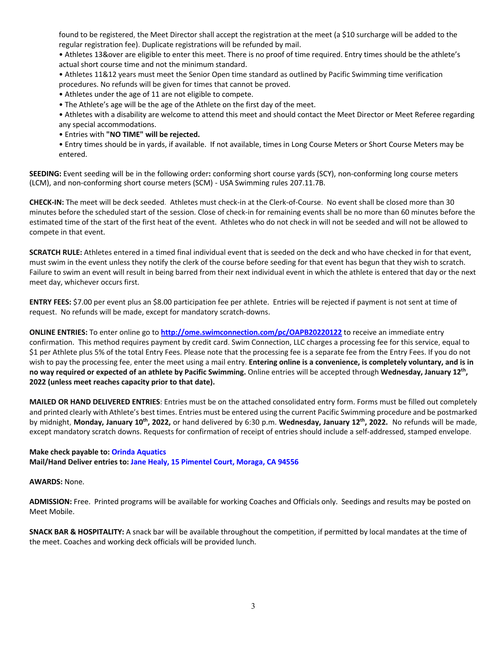found to be registered, the Meet Director shall accept the registration at the meet (a \$10 surcharge will be added to the regular registration fee). Duplicate registrations will be refunded by mail.

• Athletes 13&over are eligible to enter this meet. There is no proof of time required. Entry times should be the athlete's actual short course time and not the minimum standard.

• Athletes 11&12 years must meet the Senior Open time standard as outlined by Pacific Swimming time verification procedures. No refunds will be given for times that cannot be proved.

• Athletes under the age of 11 are not eligible to compete.

• The Athlete's age will be the age of the Athlete on the first day of the meet.

• Athletes with a disability are welcome to attend this meet and should contact the Meet Director or Meet Referee regarding any special accommodations.

• Entries with **"NO TIME" will be rejected.**

• Entry times should be in yards, if available. If not available, times in Long Course Meters or Short Course Meters may be entered.

**SEEDING:** Event seeding will be in the following order**:** conforming short course yards (SCY), non-conforming long course meters (LCM), and non-conforming short course meters (SCM) - USA Swimming rules 207.11.7B.

**CHECK-IN:** The meet will be deck seeded. Athletes must check-in at the Clerk-of-Course. No event shall be closed more than 30 minutes before the scheduled start of the session. Close of check-in for remaining events shall be no more than 60 minutes before the estimated time of the start of the first heat of the event. Athletes who do not check in will not be seeded and will not be allowed to compete in that event.

**SCRATCH RULE:** Athletes entered in a timed final individual event that is seeded on the deck and who have checked in for that event, must swim in the event unless they notify the clerk of the course before seeding for that event has begun that they wish to scratch. Failure to swim an event will result in being barred from their next individual event in which the athlete is entered that day or the next meet day, whichever occurs first.

**ENTRY FEES:** \$7.00 per event plus an \$8.00 participation fee per athlete. Entries will be rejected if payment is not sent at time of request. No refunds will be made, except for mandatory scratch-downs.

**ONLINE ENTRIES:** To enter online go to **http://ome.swimconnection.com/pc/OAPB20220122** to receive an immediate entry confirmation. This method requires payment by credit card. Swim Connection, LLC charges a processing fee for this service, equal to \$1 per Athlete plus 5% of the total Entry Fees. Please note that the processing fee is a separate fee from the Entry Fees. If you do not wish to pay the processing fee, enter the meet using a mail entry. **Entering online is a convenience, is completely voluntary, and is in no way required or expected of an athlete by Pacific Swimming.** Online entries will be accepted through **Wednesday, January 12th, 2022 (unless meet reaches capacity prior to that date).**

**MAILED OR HAND DELIVERED ENTRIES**: Entries must be on the attached consolidated entry form. Forms must be filled out completely and printed clearly with Athlete's best times. Entries must be entered using the current Pacific Swimming procedure and be postmarked by midnight, **Monday, January 10th, 2022,** or hand delivered by 6:30 p.m. **Wednesday, January 12th, 2022.** No refunds will be made, except mandatory scratch downs. Requests for confirmation of receipt of entries should include a self-addressed, stamped envelope.

## **Make check payable to: Orinda Aquatics Mail/Hand Deliver entries to: Jane Healy, 15 Pimentel Court, Moraga, CA 94556**

**AWARDS:** None.

**ADMISSION:** Free. Printed programs will be available for working Coaches and Officials only. Seedings and results may be posted on Meet Mobile.

**SNACK BAR & HOSPITALITY:** A snack bar will be available throughout the competition, if permitted by local mandates at the time of the meet. Coaches and working deck officials will be provided lunch.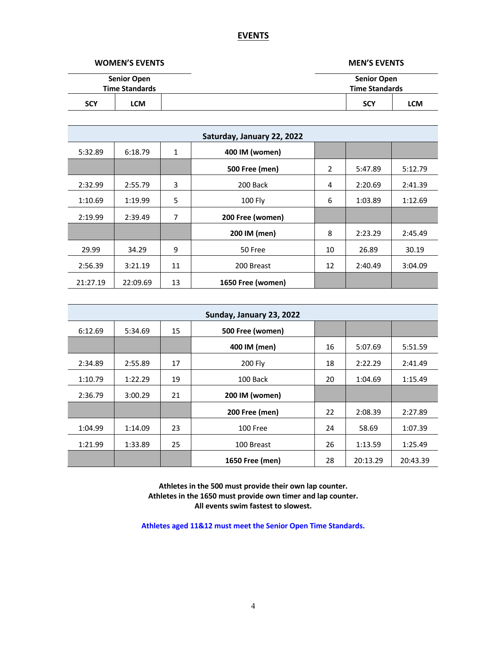## **EVENTS**

|            | <b>WOMEN'S EVENTS</b> |                       | <b>MEN'S EVENTS</b> |  |  |  |  |  |  |  |
|------------|-----------------------|-----------------------|---------------------|--|--|--|--|--|--|--|
|            | <b>Senior Open</b>    |                       | <b>Senior Open</b>  |  |  |  |  |  |  |  |
|            | <b>Time Standards</b> | <b>Time Standards</b> |                     |  |  |  |  |  |  |  |
| <b>SCY</b> | <b>LCM</b>            | <b>SCY</b>            | <b>LCM</b>          |  |  |  |  |  |  |  |

| Saturday, January 22, 2022 |          |    |                       |    |         |         |  |  |  |  |  |
|----------------------------|----------|----|-----------------------|----|---------|---------|--|--|--|--|--|
| 5:32.89                    | 6:18.79  | 1  | 400 IM (women)        |    |         |         |  |  |  |  |  |
|                            |          |    | <b>500 Free (men)</b> | 2  | 5:47.89 | 5:12.79 |  |  |  |  |  |
| 2:32.99                    | 2:55.79  | 3  | 200 Back              | 4  | 2:20.69 | 2:41.39 |  |  |  |  |  |
| 1:10.69                    | 1:19.99  | 5  | $100$ Fly             | 6  | 1:03.89 | 1:12.69 |  |  |  |  |  |
| 2:19.99                    | 2:39.49  | 7  | 200 Free (women)      |    |         |         |  |  |  |  |  |
|                            |          |    | 200 IM (men)          | 8  | 2:23.29 | 2:45.49 |  |  |  |  |  |
| 29.99                      | 34.29    | 9  | 50 Free               | 10 | 26.89   | 30.19   |  |  |  |  |  |
| 2:56.39                    | 3:21.19  | 11 | 200 Breast            | 12 | 2:40.49 | 3:04.09 |  |  |  |  |  |
| 21:27.19                   | 22:09.69 | 13 | 1650 Free (women)     |    |         |         |  |  |  |  |  |

| Sunday, January 23, 2022 |         |    |                       |    |          |          |  |  |  |  |
|--------------------------|---------|----|-----------------------|----|----------|----------|--|--|--|--|
| 6:12.69                  | 5:34.69 | 15 | 500 Free (women)      |    |          |          |  |  |  |  |
|                          |         |    | 400 IM (men)          | 16 | 5:07.69  | 5:51.59  |  |  |  |  |
| 2:34.89                  | 2:55.89 | 17 | 200 Fly               | 18 | 2:22.29  | 2:41.49  |  |  |  |  |
| 1:10.79                  | 1:22.29 | 19 | 100 Back              | 20 | 1:04.69  | 1:15.49  |  |  |  |  |
| 2:36.79                  | 3:00.29 | 21 | 200 IM (women)        |    |          |          |  |  |  |  |
|                          |         |    | <b>200 Free (men)</b> | 22 | 2:08.39  | 2:27.89  |  |  |  |  |
| 1:04.99                  | 1:14.09 | 23 | 100 Free              | 24 | 58.69    | 1:07.39  |  |  |  |  |
| 1:21.99                  | 1:33.89 | 25 | 100 Breast            | 26 | 1:13.59  | 1:25.49  |  |  |  |  |
|                          |         |    | 1650 Free (men)       | 28 | 20:13.29 | 20:43.39 |  |  |  |  |

**Athletes in the 500 must provide their own lap counter. Athletes in the 1650 must provide own timer and lap counter. All events swim fastest to slowest.**

**Athletes aged 11&12 must meet the Senior Open Time Standards.**